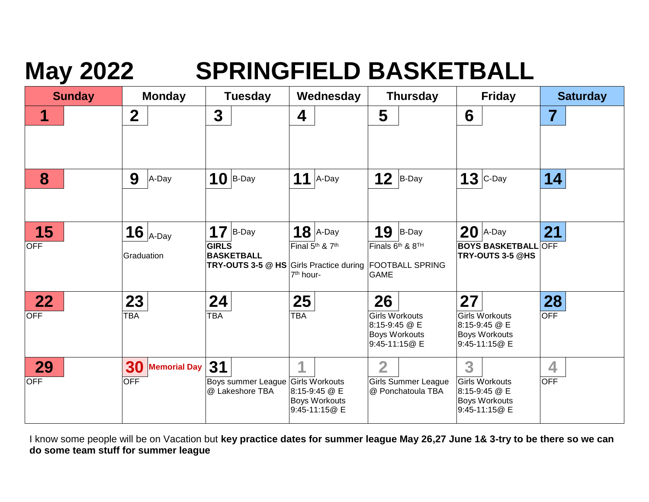## **May 2022 SPRINGFIELD BASKETBALL**

| <b>Sunday</b> | <b>Monday</b>             | <b>Tuesday</b>                                       | Wednesday                               | <b>Thursday</b>                                                        | <b>Friday</b>                              | <b>Saturday</b>         |
|---------------|---------------------------|------------------------------------------------------|-----------------------------------------|------------------------------------------------------------------------|--------------------------------------------|-------------------------|
| 1             | $\boldsymbol{2}$          | 3                                                    | 4                                       | 5                                                                      | 6                                          | $\overline{\mathbf{7}}$ |
|               |                           |                                                      |                                         |                                                                        |                                            |                         |
| 8             | 9<br>A-Day                | $10$ B-Day                                           | $11$ A-Day                              | 12<br>$B$ -Day                                                         | $13$ C-Day                                 | 14                      |
|               |                           |                                                      |                                         |                                                                        |                                            |                         |
| 15            | 16 $_{A\text{-Day}}$      | 17<br>B-Day                                          | $18$ A-Day                              | 19<br>B-Day                                                            | $20$  A-Day                                | 21                      |
| <b>OFF</b>    | Graduation                | <b>GIRLS</b><br><b>BASKETBALL</b>                    | Final 5 <sup>th</sup> & 7 <sup>th</sup> | Finals 6 <sup>th</sup> & 8 <sup>TH</sup>                               | <b>BOYS BASKETBALL</b><br>TRY-OUTS 3-5 @HS | <b>OFF</b>              |
|               |                           |                                                      | 7 <sup>th</sup> hour-                   | TRY-OUTS 3-5 @ HS Girls Practice during FOOTBALL SPRING<br><b>GAME</b> |                                            |                         |
| 22            | 23                        | 24                                                   | 25                                      | 26                                                                     | 27                                         | 28                      |
| <b>OFF</b>    | TBA                       | TBA                                                  | <b>TBA</b>                              | <b>Girls Workouts</b><br>8:15-9:45 @ E                                 | <b>Girls Workouts</b><br>8:15-9:45 @ E     | <b>OFF</b>              |
|               |                           |                                                      |                                         | <b>Boys Workouts</b><br>9:45-11:15@ E                                  | <b>Boys Workouts</b><br>9:45-11:15@ E      |                         |
| 29            | 30<br><b>Memorial Day</b> | 31                                                   | 1                                       | $\overline{2}$                                                         | 3                                          | 4                       |
| <b>OFF</b>    | <b>OFF</b>                | Boys summer League Girls Workouts<br>@ Lakeshore TBA | 8:15-9:45 @ E                           | <b>Girls Summer League</b><br>@ Ponchatoula TBA                        | <b>Girls Workouts</b><br>8:15-9:45 @ E     | <b>OFF</b>              |
|               |                           |                                                      | <b>Boys Workouts</b><br>9:45-11:15@ E   |                                                                        | <b>Boys Workouts</b><br>9:45-11:15@ E      |                         |

I know some people will be on Vacation but **key practice dates for summer league May 26,27 June 1& 3-try to be there so we can do some team stuff for summer league**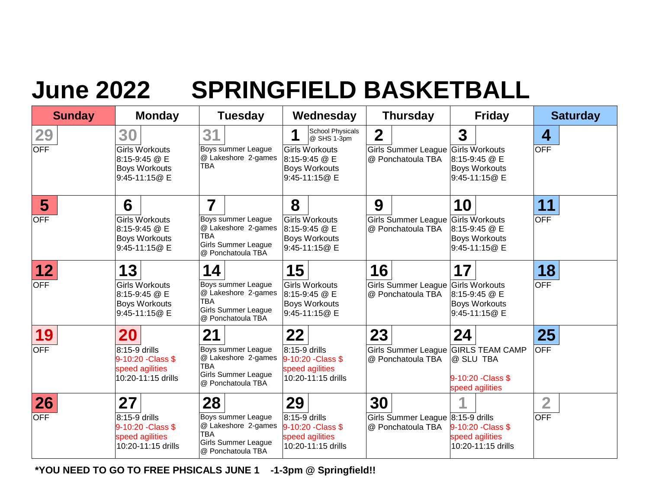## **June 2022 SPRINGFIELD BASKETBALL**

| <b>Sunday</b>                 | <b>Monday</b>                                                                         | <b>Tuesday</b>                                                                                                                 | Wednesday                                                                                                               | <b>Thursday</b>                                                             | <b>Friday</b>                                                                     | <b>Saturday</b>              |
|-------------------------------|---------------------------------------------------------------------------------------|--------------------------------------------------------------------------------------------------------------------------------|-------------------------------------------------------------------------------------------------------------------------|-----------------------------------------------------------------------------|-----------------------------------------------------------------------------------|------------------------------|
| 29<br><b>OFF</b>              | 30<br><b>Girls Workouts</b><br>8:15-9:45 @ E<br><b>Boys Workouts</b><br>9:45-11:15@ E | 31<br>Boys summer League<br>@ Lakeshore 2-games<br><b>TBA</b>                                                                  | School Physicals<br>4<br>@ SHS 1-3pm<br><b>Girls Workouts</b><br>8:15-9:45 @ E<br><b>Boys Workouts</b><br>9:45-11:15@ E | $\boldsymbol{2}$<br>Girls Summer League Girls Workouts<br>@ Ponchatoula TBA | $\overline{\mathbf{3}}$<br>8:15-9:45 @ E<br><b>Boys Workouts</b><br>9:45-11:15@ E | 4<br><b>OFF</b>              |
| $5\overline{)}$<br><b>OFF</b> | 6<br><b>Girls Workouts</b><br>8:15-9:45 @ E<br><b>Boys Workouts</b><br>9:45-11:15@ E  | $\overline{\mathbf{7}}$<br>Boys summer League<br>@ Lakeshore 2-games<br><b>TBA</b><br>Girls Summer League<br>@ Ponchatoula TBA | 8<br><b>Girls Workouts</b><br>8:15-9:45 @ E<br><b>Boys Workouts</b><br>9:45-11:15@ E                                    | 9<br>Girls Summer League Girls Workouts<br>@ Ponchatoula TBA                | 10<br>8:15-9:45 @ E<br><b>Boys Workouts</b><br>9:45-11:15@ E                      | 11<br><b>OFF</b>             |
| 12<br><b>OFF</b>              | 13<br><b>Girls Workouts</b><br>8:15-9:45 @ E<br><b>Boys Workouts</b><br>9:45-11:15@ E | 14<br>Boys summer League<br>@ Lakeshore 2-games<br><b>TBA</b><br><b>Girls Summer League</b><br>@ Ponchatoula TBA               | 15<br><b>Girls Workouts</b><br>8:15-9:45 @ E<br><b>Boys Workouts</b><br>9:45-11:15@ E                                   | 16<br>Girls Summer League Girls Workouts<br>@ Ponchatoula TBA               | 17<br>8:15-9:45 @ E<br><b>Boys Workouts</b><br>9:45-11:15@ E                      | 18<br><b>OFF</b>             |
| 19<br><b>OFF</b>              | 20<br>8:15-9 drills<br>9-10:20 - Class \$<br>speed agilities<br>10:20-11:15 drills    | 21<br>Boys summer League<br>@ Lakeshore 2-games<br><b>TBA</b><br><b>Girls Summer League</b><br>@ Ponchatoula TBA               | 22<br>8:15-9 drills<br>9-10:20 - Class \$<br>speed agilities<br>10:20-11:15 drills                                      | 23<br>Girls Summer League GIRLS TEAM CAMP<br>@ Ponchatoula TBA              | 24<br>@ SLU TBA<br>9-10:20 - Class \$<br>speed agilities                          | 25<br><b>OFF</b>             |
| 26<br><b>OFF</b>              | 27<br>8:15-9 drills<br>9-10:20 - Class \$<br>speed agilities<br>10:20-11:15 drills    | 28<br>Boys summer League<br>@ Lakeshore 2-games<br><b>TBA</b><br>Girls Summer League<br>@ Ponchatoula TBA                      | 29<br>8:15-9 drills<br>9-10:20 - Class \$<br>speed agilities<br>10:20-11:15 drills                                      | 30<br>Girls Summer League 8:15-9 drills<br>@ Ponchatoula TBA                | 9-10:20 - Class \$<br>speed agilities<br>10:20-11:15 drills                       | $\overline{2}$<br><b>OFF</b> |

 **\*YOU NEED TO GO TO FREE PHSICALS JUNE 1 -1-3pm @ Springfield!!**